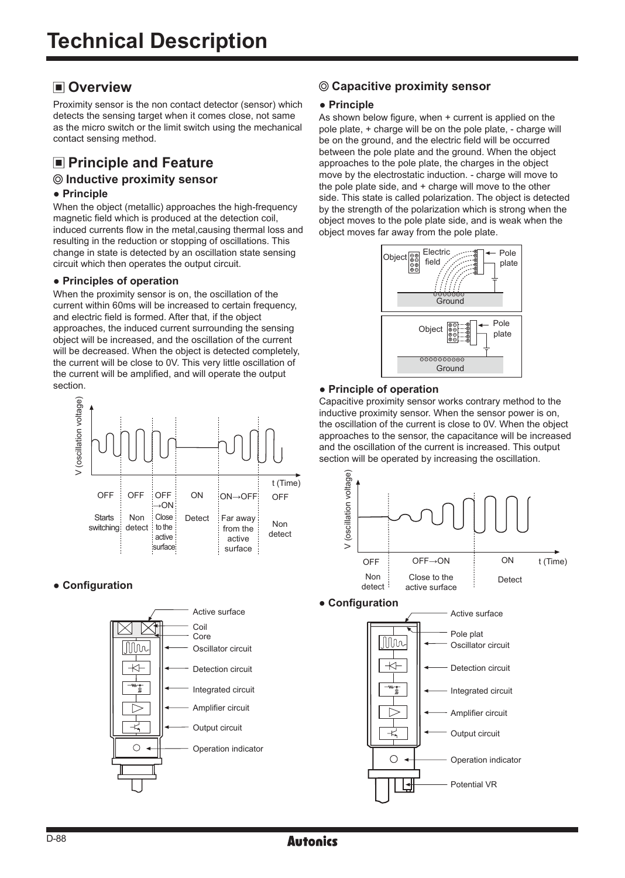# **Overview**

Proximity sensor is the non contact detector (sensor) which detects the sensing target when it comes close, not same as the micro switch or the limit switch using the mechanical contact sensing method.

# $\blacksquare$  **Principle and Feature**

# **Inductive proximity sensor**

#### **● Principle**

When the object (metallic) approaches the high-frequency magnetic field which is produced at the detection coil, induced currents flow in the metal,causing thermal loss and resulting in the reduction or stopping of oscillations. This change in state is detected by an oscillation state sensing circuit which then operates the output circuit.

#### **● Principles of operation**

When the proximity sensor is on, the oscillation of the current within 60ms will be increased to certain frequency, and electric field is formed. After that, if the object approaches, the induced current surrounding the sensing object will be increased, and the oscillation of the current will be decreased. When the object is detected completely, the current will be close to 0V. This very little oscillation of the current will be amplified, and will operate the output section.



#### **● Configuration**



# **Capacitive proximity sensor**

#### **● Principle**

As shown below figure, when + current is applied on the pole plate, + charge will be on the pole plate, - charge will be on the ground, and the electric field will be occurred between the pole plate and the ground. When the object approaches to the pole plate, the charges in the object move by the electrostatic induction. - charge will move to the pole plate side, and + charge will move to the other side. This state is called polarization. The object is detected by the strength of the polarization which is strong when the object moves to the pole plate side, and is weak when the object moves far away from the pole plate.



#### **● Principle of operation**

Capacitive proximity sensor works contrary method to the inductive proximity sensor. When the sensor power is on, the oscillation of the current is close to 0V. When the object approaches to the sensor, the capacitance will be increased and the oscillation of the current is increased. This output section will be operated by increasing the oscillation.



**● Configuration**

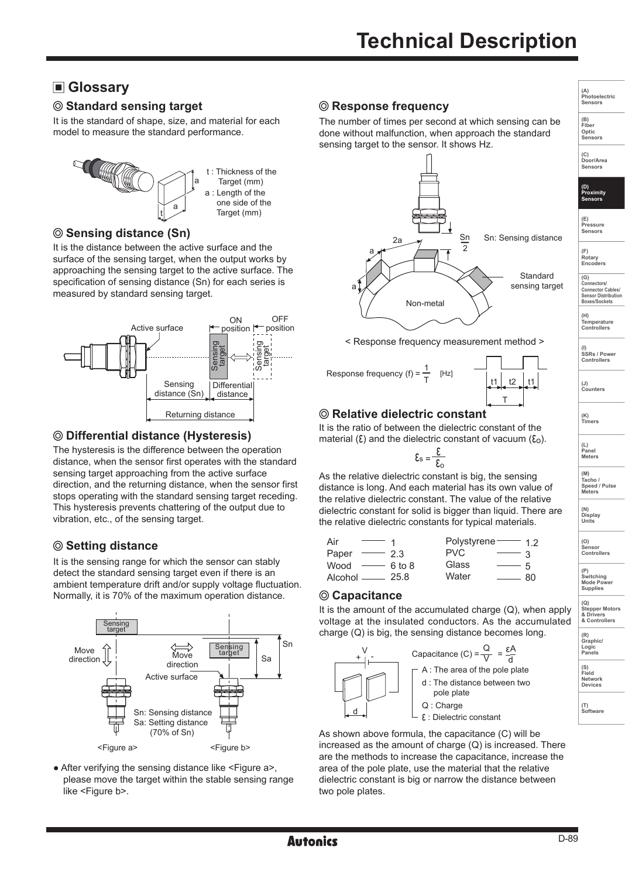# **Glossary**

# $\oslash$  **Standard sensing target**  $\oslash$  **Response frequency**

It is the standard of shape, size, and material for each model to measure the standard performance.



# **Sensing distance (Sn)**

It is the distance between the active surface and the surface of the sensing target, when the output works by approaching the sensing target to the active surface. The specification of sensing distance (Sn) for each series is measured by standard sensing target.



# **Differential distance (Hysteresis)**

The hysteresis is the difference between the operation distance, when the sensor first operates with the standard sensing target approaching from the active surface direction, and the returning distance, when the sensor first stops operating with the standard sensing target receding. This hysteresis prevents chattering of the output due to vibration, etc., of the sensing target.

# **Setting distance**

It is the sensing range for which the sensor can stably detect the standard sensing target even if there is an ambient temperature drift and/or supply voltage fluctuation. Normally, it is 70% of the maximum operation distance.



• After verifying the sensing distance like <Figure a>, please move the target within the stable sensing range like <Figure b>.

The number of times per second at which sensing can be done without malfunction, when approach the standard sensing target to the sensor. It shows Hz.



< Response frequency measurement method >



# T t1\_l t2 \_l\_t1

# **Relative dielectric constant**

It is the ratio of between the dielectric constant of the material  $(\xi)$  and the dielectric constant of vacuum  $(\xi_0)$ .

$$
\xi_{\rm s} = \frac{\xi}{\xi_{\rm o}}
$$

As the relative dielectric constant is big, the sensing distance is long. And each material has its own value of the relative dielectric constant. The value of the relative dielectric constant for solid is bigger than liquid. There are the relative dielectric constants for typical materials.

| Air                           | Polystyrene $-$ 12                      |
|-------------------------------|-----------------------------------------|
| Paper<br>23                   | PVC.                                    |
| Wood $\longrightarrow$ 6 to 8 | Glass<br>$\overline{\phantom{a}}$<br>5  |
| Alcohol $\_\_\_\_\$ 25.8      | Water<br>80<br>$\overline{\phantom{a}}$ |

#### **Capacitance**

It is the amount of the accumulated charge  $(Q)$ , when apply voltage at the insulated conductors. As the accumulated charge (Q) is big, the sensing distance becomes long.



As shown above formula, the capacitance (C) will be increased as the amount of charge (Q) is increased. There are the methods to increase the capacitance, increase the area of the pole plate, use the material that the relative dielectric constant is big or narrow the distance between two pole plates.

**(E) Pressure Sensors (F) Rotary Encoders** 

**(A) Photoelectric Sensors (B) Fiber Optic Sensors**

**(C) Door/Area Sensors**

**(D) Proximity Sensors** 

**(G) Connectors/ Connector Cables/ Sensor Distribution**

**Boxes/Sockets (H) Temperature Controllers**

**(I) SSRs / Power Controllers**

**(J) Counters** 

**(K) Timers**

**(L) Panel Meters** 

**(M) Tacho / Speed / Pulse Meters** 

**(N) Display Units**

**(O) Sensor Controllers** 

**(P) Switching Mode Power Supplies** 

**(Q) Stepper Motors & Drivers & Controllers**

| Graphic/<br>Logic<br><b>Panels</b> |
|------------------------------------|
|                                    |

**Field Network Devices**

**(T) Software**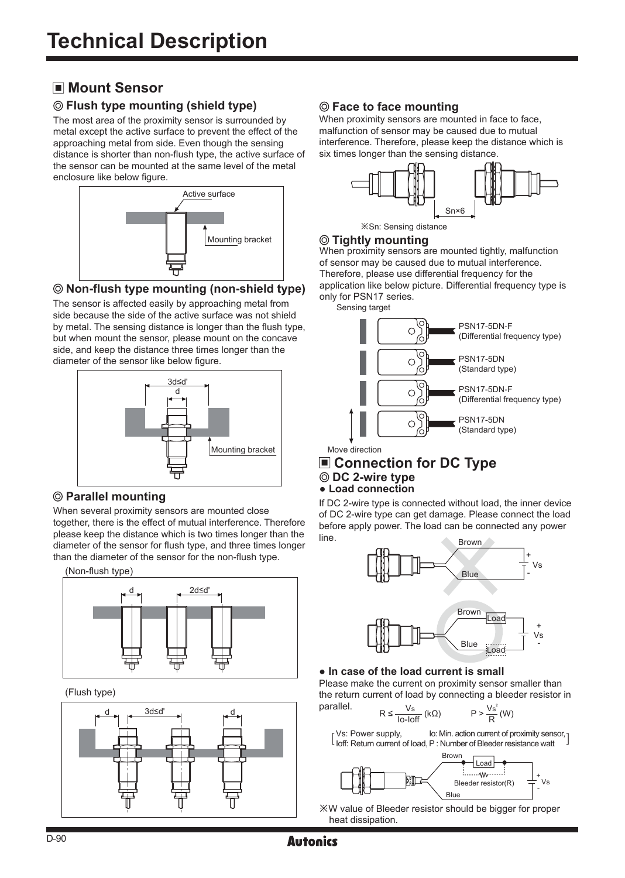# **Mount Sensor**

# **Flush type mounting (shield type)**

The most area of the proximity sensor is surrounded by metal except the active surface to prevent the effect of the approaching metal from side. Even though the sensing distance is shorter than non-flush type, the active surface of the sensor can be mounted at the same level of the metal enclosure like below figure.



# **Non-flush type mounting (non-shield type)**

The sensor is affected easily by approaching metal from side because the side of the active surface was not shield by metal. The sensing distance is longer than the flush type, but when mount the sensor, please mount on the concave side, and keep the distance three times longer than the diameter of the sensor like below figure.



# **Parallel mounting**

When several proximity sensors are mounted close together, there is the effect of mutual interference. Therefore please keep the distance which is two times longer than the diameter of the sensor for flush type, and three times longer than the diameter of the sensor for the non-flush type.

(Non-flush type)



(Flush type)



# **Face to face mounting**

When proximity sensors are mounted in face to face, malfunction of sensor may be caused due to mutual interference. Therefore, please keep the distance which is six times longer than the sensing distance.



※Sn: Sensing distance

#### **Tightly mounting**

When proximity sensors are mounted tightly, malfunction of sensor may be caused due to mutual interference. Therefore, please use differential frequency for the application like below picture. Differential frequency type is only for PSN17 series.

Sensing target



Move direction

# **Connection for DC Type DC 2-wire type ● Load connection**

If DC 2-wire type is connected without load, the inner device of DC 2-wire type can get damage. Please connect the load before apply power. The load can be connected any power line.



# **● In case of the load current is small**

Please make the current on proximity sensor smaller than the return current of load by connecting a bleeder resistor in parallel.

$$
R \le \frac{V_s}{\text{lo-loff}} \left( k\Omega \right) \qquad P > \frac{V_s^2}{R} \left( W \right)
$$

Vs: Power supply,  $\begin{bmatrix} \text{vs.} \ \text{Power} \ \text{support} \end{bmatrix}$  to off: Return current of load, P : Number of Bleeder resistance watt  $\begin{bmatrix} 1 & 0 \\ 0 & 1 \end{bmatrix}$ Io: Min. action current of proximity sensor, 1



※W value of Bleeder resistor should be bigger for proper heat dissipation.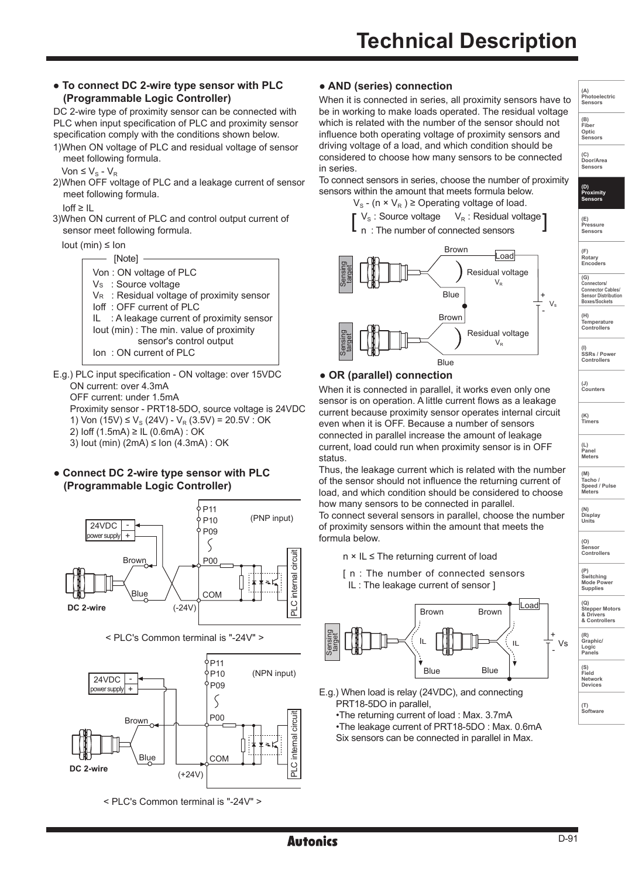#### **● To connect DC 2-wire type sensor with PLC (Programmable Logic Controller)**

DC 2-wire type of proximity sensor can be connected with PLC when input specification of PLC and proximity sensor specification comply with the conditions shown below.

1)When ON voltage of PLC and residual voltage of sensor meet following formula.

Von  $\leq$  V<sub>S</sub> - V<sub>R</sub>

2)When OFF voltage of PLC and a leakage current of sensor meet following formula.

 $Inff > II$ 

3)When ON current of PLC and control output current of sensor meet following formula.

Iout (min) ≤ Ion



E.g.) PLC input specification - ON voltage: over 15VDC ON current: over 4.3mA OFF current: under 1.5mA Proximity sensor - PRT18-5DO, source voltage is 24VDC 1) Von (15V) ≤  $V_S$  (24V) -  $V_R$  (3.5V) = 20.5V : OK 2) Ioff (1.5mA) ≥ IL (0.6mA) : OK 3) Iout (min) (2mA) ≤ Ion (4.3mA) : OK

### **● Connect DC 2-wire type sensor with PLC (Programmable Logic Controller)**



< PLC's Common terminal is "-24V" >



< PLC's Common terminal is "-24V" >

# **● AND (series) connection**

When it is connected in series, all proximity sensors have to be in working to make loads operated. The residual voltage which is related with the number of the sensor should not influence both operating voltage of proximity sensors and driving voltage of a load, and which condition should be considered to choose how many sensors to be connected in series.

To connect sensors in series, choose the number of proximity sensors within the amount that meets formula below.







### **● OR (parallel) connection**

When it is connected in parallel, it works even only one sensor is on operation. A little current flows as a leakage current because proximity sensor operates internal circuit even when it is OFF. Because a number of sensors connected in parallel increase the amount of leakage current, load could run when proximity sensor is in OFF status.

Thus, the leakage current which is related with the number of the sensor should not influence the returning current of load, and which condition should be considered to choose how many sensors to be connected in parallel.

To connect several sensors in parallel, choose the number of proximity sensors within the amount that meets the formula below.

- n × IL ≤ The returning current of load
- [ n : The number of connected sensors IL : The leakage current of sensor ]



E.g.) When load is relay (24VDC), and connecting PRT18-5DO in parallel,

•The returning current of load : Max. 3.7mA

•The leakage current of PRT18-5DO : Max. 0.6mA Six sensors can be connected in parallel in Max.

**(E) Pressure Sensors (F) Rotary Encoders (G) Connectors/ Connector Cables/ Sensor Distribution Boxes/Sockets (H)**

**(A) Photoelectric Sensors (B) Fiber Optic Sensors**

**(C) Door/Area Sensors**

**(D) Proximity Sensors** 

**Temperature Controllers (I) SSRs / Power Controllers**

**(J) Counters** 

**(K) Timers**

**(L) Panel Meters** 

**(M) Tacho / Speed / Pulse Meters** 

**Units (O) Sensor Controllers** 

**(N) Display**

**(P) Switching Mode Power Supplies** 

**(Q) Stepper Motors & Drivers & Controllers**

**(R) Graphic/ Logic Panels**

Vs

**(S) Field Network Devices**

**(T) Software**

and the contract of the contract of the contract of the contract of the contract of the contract of the contract of the contract of the contract of the contract of the contract of the contract of the contract of the contra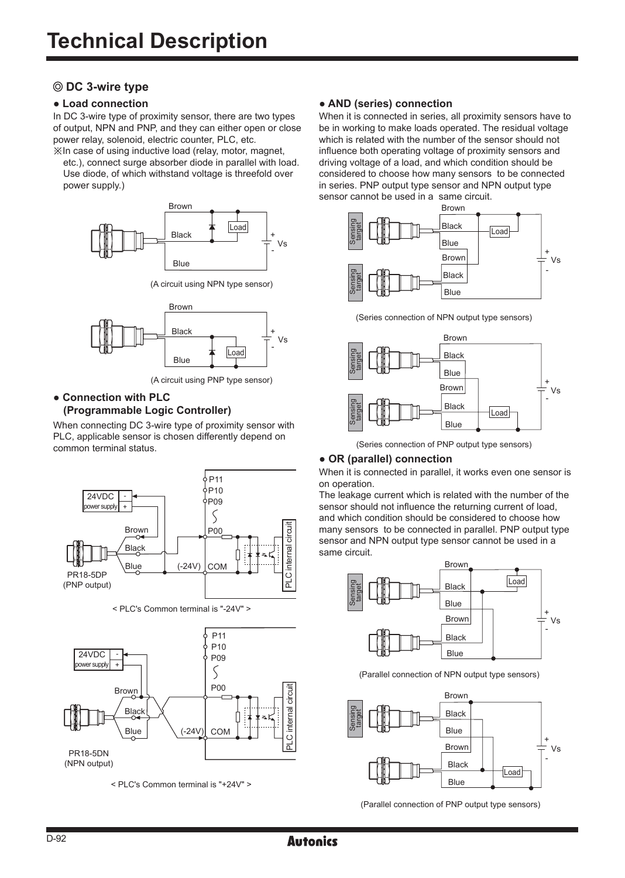# **DC 3-wire type**

In DC 3-wire type of proximity sensor, there are two types of output, NPN and PNP, and they can either open or close power relay, solenoid, electric counter, PLC, etc.

※In case of using inductive load (relay, motor, magnet, etc.), connect surge absorber diode in parallel with load. Use diode, of which withstand voltage is threefold over power supply.)



(A circuit using NPN type sensor)



(A circuit using PNP type sensor)

#### **● Connection with PLC (Programmable Logic Controller)**

When connecting DC 3-wire type of proximity sensor with PLC, applicable sensor is chosen differently depend on common terminal status.



< PLC's Common terminal is "-24V" >



< PLC's Common terminal is "+24V" >

### **● Load connection ● AND (series) connection**

When it is connected in series, all proximity sensors have to be in working to make loads operated. The residual voltage which is related with the number of the sensor should not influence both operating voltage of proximity sensors and driving voltage of a load, and which condition should be considered to choose how many sensors to be connected in series. PNP output type sensor and NPN output type sensor cannot be used in a same circuit.



(Series connection of NPN output type sensors)



(Series connection of PNP output type sensors)

#### **● OR (parallel) connection**

When it is connected in parallel, it works even one sensor is on operation.

The leakage current which is related with the number of the sensor should not influence the returning current of load, and which condition should be considered to choose how many sensors to be connected in parallel. PNP output type sensor and NPN output type sensor cannot be used in a same circuit.



(Parallel connection of NPN output type sensors)



(Parallel connection of PNP output type sensors)